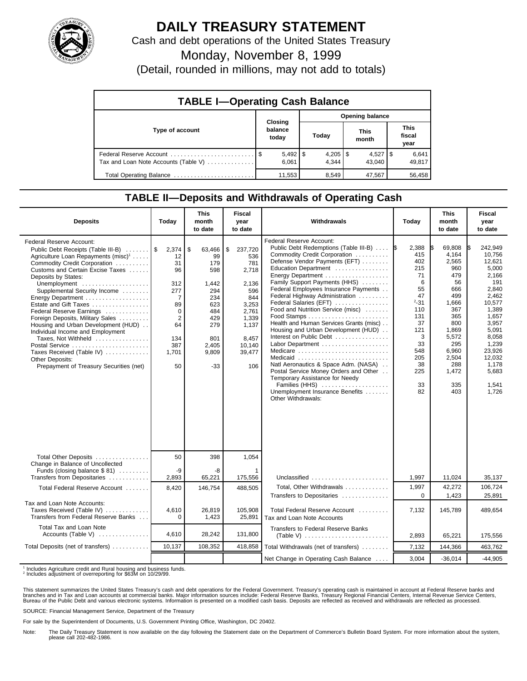

## **DAILY TREASURY STATEMENT**

Cash and debt operations of the United States Treasury

Monday, November 8, 1999

(Detail, rounded in millions, may not add to totals)

| <b>TABLE I-Operating Cash Balance</b> |                             |                 |                      |                        |  |  |  |
|---------------------------------------|-----------------------------|-----------------|----------------------|------------------------|--|--|--|
|                                       |                             | Opening balance |                      |                        |  |  |  |
| Type of account                       | Closing<br>balance<br>today | Today           | <b>This</b><br>month | This<br>fiscal<br>year |  |  |  |
| Tax and Loan Note Accounts (Table V)  | $5,492$   \$<br>6.061       | 4.344           | $4,527$ S<br>43.040  | 6,641<br>49,817        |  |  |  |
| Total Operating Balance               | 11,553                      | 8,549           | 47,567               | 56,458                 |  |  |  |

## **TABLE II—Deposits and Withdrawals of Operating Cash**

| <b>Deposits</b>                                                                                                                                                                                                                                                                                                                                                                                                                                                                                                                                                                           | Today                                                                                                             | <b>This</b><br>month<br>to date                                                                                       | Fiscal<br>year<br>to date                                                                                                           | Withdrawals                                                                                                                                                                                                                                                                                                                                                                                                                                                                                                                                                                                                                                                                                 | Today                                                                                                                                      | <b>This</b><br>month<br>to date                                                                                                                                   | <b>Fiscal</b><br>year<br>to date                                                                                                                                                                      |
|-------------------------------------------------------------------------------------------------------------------------------------------------------------------------------------------------------------------------------------------------------------------------------------------------------------------------------------------------------------------------------------------------------------------------------------------------------------------------------------------------------------------------------------------------------------------------------------------|-------------------------------------------------------------------------------------------------------------------|-----------------------------------------------------------------------------------------------------------------------|-------------------------------------------------------------------------------------------------------------------------------------|---------------------------------------------------------------------------------------------------------------------------------------------------------------------------------------------------------------------------------------------------------------------------------------------------------------------------------------------------------------------------------------------------------------------------------------------------------------------------------------------------------------------------------------------------------------------------------------------------------------------------------------------------------------------------------------------|--------------------------------------------------------------------------------------------------------------------------------------------|-------------------------------------------------------------------------------------------------------------------------------------------------------------------|-------------------------------------------------------------------------------------------------------------------------------------------------------------------------------------------------------|
| Federal Reserve Account:<br>Public Debt Receipts (Table III-B)<br>Agriculture Loan Repayments (misc) <sup>1</sup><br>Commodity Credit Corporation<br>Customs and Certain Excise Taxes<br>Deposits by States:<br>Unemployment<br>Supplemental Security Income<br>Energy Department<br>Estate and Gift Taxes<br>Federal Reserve Earnings<br>Foreign Deposits, Military Sales<br>Housing and Urban Development (HUD)<br>Individual Income and Employment<br>Taxes, Not Withheld<br>Postal Service<br>Taxes Received (Table IV)<br>Other Deposits:<br>Prepayment of Treasury Securities (net) | 2,374<br>12<br>31<br>96<br>312<br>277<br>7<br>89<br>$\Omega$<br>$\overline{2}$<br>64<br>134<br>387<br>1.701<br>50 | \$<br>63,466<br>99<br>179<br>598<br>1,442<br>294<br>234<br>623<br>484<br>429<br>279<br>801<br>2,405<br>9.809<br>$-33$ | 237,720<br>\$<br>536<br>781<br>2,718<br>2,136<br>596<br>844<br>3,253<br>2.761<br>1,339<br>1,137<br>8.457<br>10,140<br>39,477<br>106 | Federal Reserve Account:<br>Public Debt Redemptions (Table III-B)<br>Commodity Credit Corporation<br>Defense Vendor Payments (EFT)<br>Education Department<br>Family Support Payments (HHS)<br>Federal Employees Insurance Payments<br>Federal Highway Administration<br>Federal Salaries (EFT)<br>Food and Nutrition Service (misc)<br>Health and Human Services Grants (misc)<br>Housing and Urban Development (HUD)<br>Interest on Public Debt<br>Labor Department<br>Medicare<br>Medicaid<br>Natl Aeronautics & Space Adm. (NASA)<br>Postal Service Money Orders and Other<br>Temporary Assistance for Needy<br>Families (HHS)<br>Unemployment Insurance Benefits<br>Other Withdrawals: | 2,388<br>415<br>402<br>215<br>71<br>6<br>55<br>47<br>$2 - 31$<br>110<br>131<br>37<br>121<br>3<br>33<br>548<br>205<br>38<br>225<br>33<br>82 | 69,808<br>4.164<br>2,565<br>960<br>479<br>56<br>666<br>499<br>1,666<br>367<br>365<br>800<br>1,869<br>5,572<br>295<br>6,960<br>2.504<br>288<br>1,472<br>335<br>403 | 242.949<br>IS.<br>10.756<br>12,621<br>5.000<br>2,166<br>191<br>2,840<br>2.462<br>10.577<br>1.389<br>1,657<br>3,957<br>5.091<br>8.058<br>1,239<br>23,926<br>12.032<br>1.178<br>5.683<br>1,541<br>1,726 |
| Total Other Deposits<br>Change in Balance of Uncollected<br>Funds (closing balance \$81)                                                                                                                                                                                                                                                                                                                                                                                                                                                                                                  | 50<br>-9                                                                                                          | 398<br>-8                                                                                                             | 1,054                                                                                                                               |                                                                                                                                                                                                                                                                                                                                                                                                                                                                                                                                                                                                                                                                                             |                                                                                                                                            |                                                                                                                                                                   |                                                                                                                                                                                                       |
| Transfers from Depositaries<br>Total Federal Reserve Account                                                                                                                                                                                                                                                                                                                                                                                                                                                                                                                              | 2,893<br>8,420                                                                                                    | 65,221<br>146,754                                                                                                     | 175,556<br>488,505                                                                                                                  | Unclassified<br>Total, Other Withdrawals                                                                                                                                                                                                                                                                                                                                                                                                                                                                                                                                                                                                                                                    | 1,997<br>1,997                                                                                                                             | 11,024<br>42,272                                                                                                                                                  | 35,137<br>106,724                                                                                                                                                                                     |
|                                                                                                                                                                                                                                                                                                                                                                                                                                                                                                                                                                                           |                                                                                                                   |                                                                                                                       |                                                                                                                                     | Transfers to Depositaries                                                                                                                                                                                                                                                                                                                                                                                                                                                                                                                                                                                                                                                                   | $\mathbf 0$                                                                                                                                | 1,423                                                                                                                                                             | 25,891                                                                                                                                                                                                |
| Tax and Loan Note Accounts:<br>Taxes Received (Table IV)<br>Transfers from Federal Reserve Banks                                                                                                                                                                                                                                                                                                                                                                                                                                                                                          | 4,610<br>$\Omega$                                                                                                 | 26,819<br>1,423                                                                                                       | 105,908<br>25,891                                                                                                                   | Total Federal Reserve Account<br>Tax and Loan Note Accounts                                                                                                                                                                                                                                                                                                                                                                                                                                                                                                                                                                                                                                 | 7,132                                                                                                                                      | 145,789                                                                                                                                                           | 489,654                                                                                                                                                                                               |
| Total Tax and Loan Note<br>Accounts (Table V) $\dots\dots\dots\dots$                                                                                                                                                                                                                                                                                                                                                                                                                                                                                                                      | 4,610                                                                                                             | 28,242                                                                                                                | 131,800                                                                                                                             | Transfers to Federal Reserve Banks                                                                                                                                                                                                                                                                                                                                                                                                                                                                                                                                                                                                                                                          | 2,893                                                                                                                                      | 65,221                                                                                                                                                            | 175,556                                                                                                                                                                                               |
| Total Deposits (net of transfers)                                                                                                                                                                                                                                                                                                                                                                                                                                                                                                                                                         | 10,137                                                                                                            | 108,352                                                                                                               | 418,858                                                                                                                             | Total Withdrawals (net of transfers)                                                                                                                                                                                                                                                                                                                                                                                                                                                                                                                                                                                                                                                        | 7,132                                                                                                                                      | 144,366                                                                                                                                                           | 463,762                                                                                                                                                                                               |
|                                                                                                                                                                                                                                                                                                                                                                                                                                                                                                                                                                                           |                                                                                                                   |                                                                                                                       |                                                                                                                                     | Net Change in Operating Cash Balance                                                                                                                                                                                                                                                                                                                                                                                                                                                                                                                                                                                                                                                        | 3,004                                                                                                                                      | $-36,014$                                                                                                                                                         | $-44,905$                                                                                                                                                                                             |

<sup>1</sup> Includes Agriculture credit and Rural housing and business funds.<br><sup>2</sup> Includes adjustment of overreporting for \$63M on 10/29/99.

This statement summarizes the United States Treasury's cash and debt operations for the Federal Government. Treasury's operating cash is maintained in account at Federal Reserve banks and<br>branches and in Tax and Loan accou

SOURCE: Financial Management Service, Department of the Treasury

For sale by the Superintendent of Documents, U.S. Government Printing Office, Washington, DC 20402.

Note: The Daily Treasury Statement is now available on the day following the Statement date on the Department of Commerce's Bulletin Board System. For more information about the system, please call 202-482-1986.